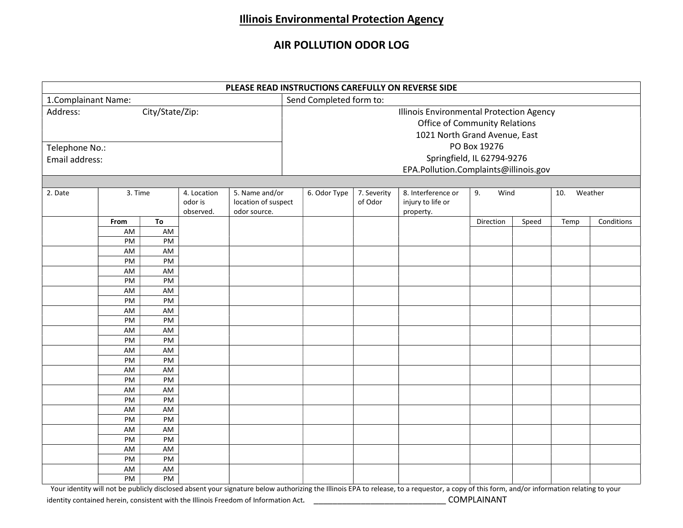## Illinois Environmental Protection Agency

## AIR POLLUTION ODOR LOG

| PLEASE READ INSTRUCTIONS CAREFULLY ON REVERSE SIDE |                                                           |                                                          |                                     |                                                       |                                                                                                                   |                                       |                        |                                                      |                              |       |      |            |  |
|----------------------------------------------------|-----------------------------------------------------------|----------------------------------------------------------|-------------------------------------|-------------------------------------------------------|-------------------------------------------------------------------------------------------------------------------|---------------------------------------|------------------------|------------------------------------------------------|------------------------------|-------|------|------------|--|
| 1. Complainant Name:                               |                                                           |                                                          |                                     |                                                       | Send Completed form to:                                                                                           |                                       |                        |                                                      |                              |       |      |            |  |
| City/State/Zip:<br>Address:                        |                                                           |                                                          |                                     |                                                       | Illinois Environmental Protection Agency<br><b>Office of Community Relations</b><br>1021 North Grand Avenue, East |                                       |                        |                                                      |                              |       |      |            |  |
|                                                    |                                                           |                                                          |                                     |                                                       | PO Box 19276                                                                                                      |                                       |                        |                                                      |                              |       |      |            |  |
| Telephone No.:                                     |                                                           |                                                          |                                     |                                                       |                                                                                                                   |                                       |                        |                                                      |                              |       |      |            |  |
| Email address:                                     |                                                           |                                                          |                                     |                                                       | Springfield, IL 62794-9276                                                                                        |                                       |                        |                                                      |                              |       |      |            |  |
|                                                    |                                                           |                                                          |                                     |                                                       |                                                                                                                   | EPA.Pollution.Complaints@illinois.gov |                        |                                                      |                              |       |      |            |  |
|                                                    |                                                           |                                                          |                                     |                                                       |                                                                                                                   |                                       |                        |                                                      |                              |       |      |            |  |
| 2. Date                                            | 3. Time                                                   |                                                          | 4. Location<br>odor is<br>observed. | 5. Name and/or<br>location of suspect<br>odor source. |                                                                                                                   | 6. Odor Type                          | 7. Severity<br>of Odor | 8. Interference or<br>injury to life or<br>property. | 9.<br>Wind<br>10.<br>Weather |       |      |            |  |
|                                                    | From                                                      | To                                                       |                                     |                                                       |                                                                                                                   |                                       |                        |                                                      | Direction                    | Speed | Temp | Conditions |  |
|                                                    | AM                                                        | AM                                                       |                                     |                                                       |                                                                                                                   |                                       |                        |                                                      |                              |       |      |            |  |
|                                                    | PM                                                        | PM                                                       |                                     |                                                       |                                                                                                                   |                                       |                        |                                                      |                              |       |      |            |  |
|                                                    | AM                                                        | AM                                                       |                                     |                                                       |                                                                                                                   |                                       |                        |                                                      |                              |       |      |            |  |
|                                                    | PM                                                        | PM                                                       |                                     |                                                       |                                                                                                                   |                                       |                        |                                                      |                              |       |      |            |  |
|                                                    | AM                                                        | AM                                                       |                                     |                                                       |                                                                                                                   |                                       |                        |                                                      |                              |       |      |            |  |
|                                                    | PM                                                        | PM                                                       |                                     |                                                       |                                                                                                                   |                                       |                        |                                                      |                              |       |      |            |  |
|                                                    | AM<br>PM                                                  | AM<br>PM                                                 |                                     |                                                       |                                                                                                                   |                                       |                        |                                                      |                              |       |      |            |  |
|                                                    | AM                                                        | AM                                                       |                                     |                                                       |                                                                                                                   |                                       |                        |                                                      |                              |       |      |            |  |
|                                                    | PM                                                        | PM                                                       |                                     |                                                       |                                                                                                                   |                                       |                        |                                                      |                              |       |      |            |  |
|                                                    | AM                                                        | AM                                                       |                                     |                                                       |                                                                                                                   |                                       |                        |                                                      |                              |       |      |            |  |
|                                                    | PM                                                        | PM                                                       |                                     |                                                       |                                                                                                                   |                                       |                        |                                                      |                              |       |      |            |  |
|                                                    | AM                                                        | AM                                                       |                                     |                                                       |                                                                                                                   |                                       |                        |                                                      |                              |       |      |            |  |
|                                                    | PM                                                        | PM                                                       |                                     |                                                       |                                                                                                                   |                                       |                        |                                                      |                              |       |      |            |  |
|                                                    | AM                                                        | AM                                                       |                                     |                                                       |                                                                                                                   |                                       |                        |                                                      |                              |       |      |            |  |
|                                                    | PM                                                        |                                                          |                                     |                                                       |                                                                                                                   |                                       |                        |                                                      |                              |       |      |            |  |
|                                                    | AM                                                        | AM                                                       |                                     |                                                       |                                                                                                                   |                                       |                        |                                                      |                              |       |      |            |  |
|                                                    |                                                           |                                                          |                                     |                                                       |                                                                                                                   |                                       |                        |                                                      |                              |       |      |            |  |
|                                                    |                                                           |                                                          |                                     |                                                       |                                                                                                                   |                                       |                        |                                                      |                              |       |      |            |  |
|                                                    |                                                           |                                                          |                                     |                                                       |                                                                                                                   |                                       |                        |                                                      |                              |       |      |            |  |
|                                                    |                                                           |                                                          |                                     |                                                       |                                                                                                                   |                                       |                        |                                                      |                              |       |      |            |  |
|                                                    |                                                           |                                                          |                                     |                                                       |                                                                                                                   |                                       |                        |                                                      |                              |       |      |            |  |
|                                                    |                                                           |                                                          |                                     |                                                       |                                                                                                                   |                                       |                        |                                                      |                              |       |      |            |  |
|                                                    |                                                           |                                                          |                                     |                                                       |                                                                                                                   |                                       |                        |                                                      |                              |       |      |            |  |
|                                                    |                                                           |                                                          |                                     |                                                       |                                                                                                                   |                                       |                        |                                                      |                              |       |      |            |  |
|                                                    | PM<br>AM<br><b>PM</b><br>AM<br>PM<br>AM<br>PM<br>AM<br>PM | PM<br>PM<br>AM<br>PM<br>AM<br>PM<br>AM<br>PM<br>AM<br>PM |                                     |                                                       |                                                                                                                   |                                       |                        |                                                      |                              |       |      |            |  |

Your identity will not be publicly disclosed absent your signature below authorizing the Illinois EPA to release, to a requestor, a copy of this form, and/or information relating to your identity contained herein, consistent with the Illinois Freedom of Information Act. **Example 20 COMPLAINANT**